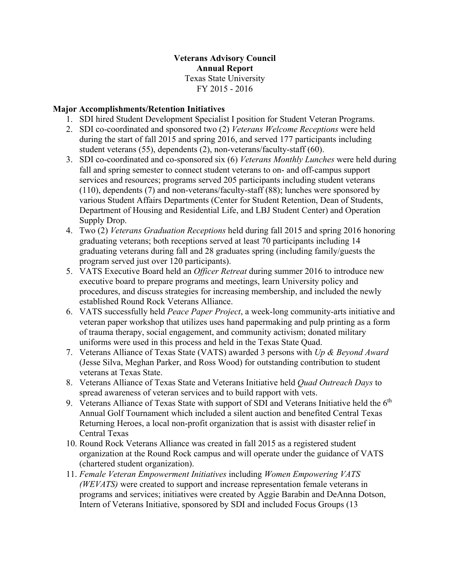### **Veterans Advisory Council Annual Report** Texas State University FY 2015 - 2016

### **Major Accomplishments/Retention Initiatives**

- 1. SDI hired Student Development Specialist I position for Student Veteran Programs.
- 2. SDI co-coordinated and sponsored two (2) *Veterans Welcome Receptions* were held during the start of fall 2015 and spring 2016, and served 177 participants including student veterans (55), dependents (2), non-veterans/faculty-staff (60).
- 3. SDI co-coordinated and co-sponsored six (6) *Veterans Monthly Lunches* were held during fall and spring semester to connect student veterans to on- and off-campus support services and resources; programs served 205 participants including student veterans (110), dependents (7) and non-veterans/faculty-staff (88); lunches were sponsored by various Student Affairs Departments (Center for Student Retention, Dean of Students, Department of Housing and Residential Life, and LBJ Student Center) and Operation Supply Drop.
- 4. Two (2) *Veterans Graduation Receptions* held during fall 2015 and spring 2016 honoring graduating veterans; both receptions served at least 70 participants including 14 graduating veterans during fall and 28 graduates spring (including family/guests the program served just over 120 participants).
- 5. VATS Executive Board held an *Officer Retreat* during summer 2016 to introduce new executive board to prepare programs and meetings, learn University policy and procedures, and discuss strategies for increasing membership, and included the newly established Round Rock Veterans Alliance.
- 6. VATS successfully held *Peace Paper Project*, a week-long community-arts initiative and veteran paper workshop that utilizes uses hand papermaking and pulp printing as a form of trauma therapy, social engagement, and community activism; donated military uniforms were used in this process and held in the Texas State Quad.
- 7. Veterans Alliance of Texas State (VATS) awarded 3 persons with *Up & Beyond Award* (Jesse Silva, Meghan Parker, and Ross Wood) for outstanding contribution to student veterans at Texas State.
- 8. Veterans Alliance of Texas State and Veterans Initiative held *Quad Outreach Days* to spread awareness of veteran services and to build rapport with vets.
- 9. Veterans Alliance of Texas State with support of SDI and Veterans Initiative held the  $6<sup>th</sup>$ Annual Golf Tournament which included a silent auction and benefited Central Texas Returning Heroes, a local non-profit organization that is assist with disaster relief in Central Texas
- 10. Round Rock Veterans Alliance was created in fall 2015 as a registered student organization at the Round Rock campus and will operate under the guidance of VATS (chartered student organization).
- 11. *Female Veteran Empowerment Initiatives* including *Women Empowering VATS (WEVATS)* were created to support and increase representation female veterans in programs and services; initiatives were created by Aggie Barabin and DeAnna Dotson, Intern of Veterans Initiative, sponsored by SDI and included Focus Groups (13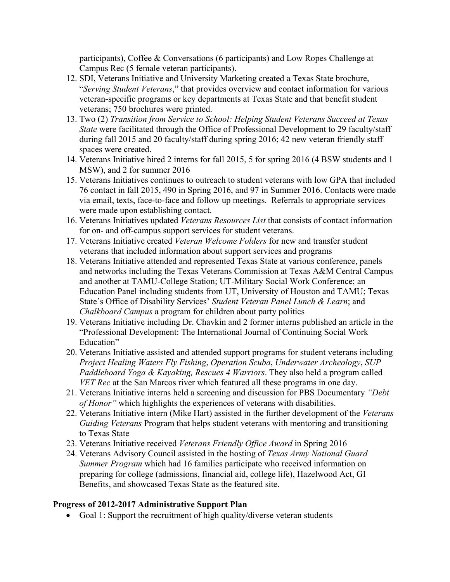participants), Coffee & Conversations (6 participants) and Low Ropes Challenge at Campus Rec (5 female veteran participants).

- 12. SDI, Veterans Initiative and University Marketing created a Texas State brochure, "*Serving Student Veterans*," that provides overview and contact information for various veteran-specific programs or key departments at Texas State and that benefit student veterans; 750 brochures were printed.
- 13. Two (2) *Transition from Service to School: Helping Student Veterans Succeed at Texas State* were facilitated through the Office of Professional Development to 29 faculty/staff during fall 2015 and 20 faculty/staff during spring 2016; 42 new veteran friendly staff spaces were created.
- 14. Veterans Initiative hired 2 interns for fall 2015, 5 for spring 2016 (4 BSW students and 1 MSW), and 2 for summer 2016
- 15. Veterans Initiatives continues to outreach to student veterans with low GPA that included 76 contact in fall 2015, 490 in Spring 2016, and 97 in Summer 2016. Contacts were made via email, texts, face-to-face and follow up meetings. Referrals to appropriate services were made upon establishing contact.
- 16. Veterans Initiatives updated *Veterans Resources List* that consists of contact information for on- and off-campus support services for student veterans.
- 17. Veterans Initiative created *Veteran Welcome Folders* for new and transfer student veterans that included information about support services and programs
- 18. Veterans Initiative attended and represented Texas State at various conference, panels and networks including the Texas Veterans Commission at Texas A&M Central Campus and another at TAMU-College Station; UT-Military Social Work Conference; an Education Panel including students from UT, University of Houston and TAMU; Texas State's Office of Disability Services' *Student Veteran Panel Lunch & Learn*; and *Chalkboard Campus* a program for children about party politics
- 19. Veterans Initiative including Dr. Chavkin and 2 former interns published an article in the "Professional Development: The International Journal of Continuing Social Work Education"
- 20. Veterans Initiative assisted and attended support programs for student veterans including *Project Healing Waters Fly Fishing*, *Operation Scuba*, *Underwater Archeology*, *SUP Paddleboard Yoga & Kayaking, Rescues 4 Warriors*. They also held a program called *VET Rec* at the San Marcos river which featured all these programs in one day.
- 21. Veterans Initiative interns held a screening and discussion for PBS Documentary *"Debt of Honor"* which highlights the experiences of veterans with disabilities.
- 22. Veterans Initiative intern (Mike Hart) assisted in the further development of the *Veterans Guiding Veterans* Program that helps student veterans with mentoring and transitioning to Texas State
- 23. Veterans Initiative received *Veterans Friendly Office Award* in Spring 2016
- 24. Veterans Advisory Council assisted in the hosting of *Texas Army National Guard Summer Program* which had 16 families participate who received information on preparing for college (admissions, financial aid, college life), Hazelwood Act, GI Benefits, and showcased Texas State as the featured site.

#### **Progress of 2012-2017 Administrative Support Plan**

• Goal 1: Support the recruitment of high quality/diverse veteran students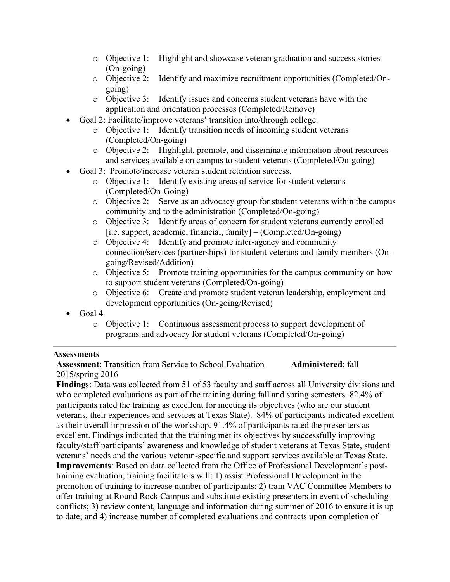- o Objective 1: Highlight and showcase veteran graduation and success stories (On-going)
- o Objective 2: Identify and maximize recruitment opportunities (Completed/Ongoing)
- o Objective 3: Identify issues and concerns student veterans have with the application and orientation processes (Completed/Remove)
- Goal 2: Facilitate/improve veterans' transition into/through college.
	- o Objective 1: Identify transition needs of incoming student veterans (Completed/On-going)
	- o Objective 2: Highlight, promote, and disseminate information about resources and services available on campus to student veterans (Completed/On-going)
- Goal 3: Promote/increase veteran student retention success.
	- o Objective 1: Identify existing areas of service for student veterans (Completed/On-Going)
	- o Objective 2: Serve as an advocacy group for student veterans within the campus community and to the administration (Completed/On-going)
	- o Objective 3: Identify areas of concern for student veterans currently enrolled  $[i.e. support, academic, financial, family] - (Completed/On-going)$
	- o Objective 4: Identify and promote inter-agency and community connection/services (partnerships) for student veterans and family members (Ongoing/Revised/Addition)
	- o Objective 5: Promote training opportunities for the campus community on how to support student veterans (Completed/On-going)
	- o Objective 6: Create and promote student veteran leadership, employment and development opportunities (On-going/Revised)
- Goal 4
	- o Objective 1: Continuous assessment process to support development of programs and advocacy for student veterans (Completed/On-going)

#### **Assessments**

**Assessment:** Transition from Service to School Evaluation **Administered:** fall 2015/spring 2016

**Findings**: Data was collected from 51 of 53 faculty and staff across all University divisions and who completed evaluations as part of the training during fall and spring semesters. 82.4% of participants rated the training as excellent for meeting its objectives (who are our student veterans, their experiences and services at Texas State). 84% of participants indicated excellent as their overall impression of the workshop. 91.4% of participants rated the presenters as excellent. Findings indicated that the training met its objectives by successfully improving faculty/staff participants' awareness and knowledge of student veterans at Texas State, student veterans' needs and the various veteran-specific and support services available at Texas State. **Improvements**: Based on data collected from the Office of Professional Development's posttraining evaluation, training facilitators will: 1) assist Professional Development in the promotion of training to increase number of participants; 2) train VAC Committee Members to offer training at Round Rock Campus and substitute existing presenters in event of scheduling conflicts; 3) review content, language and information during summer of 2016 to ensure it is up to date; and 4) increase number of completed evaluations and contracts upon completion of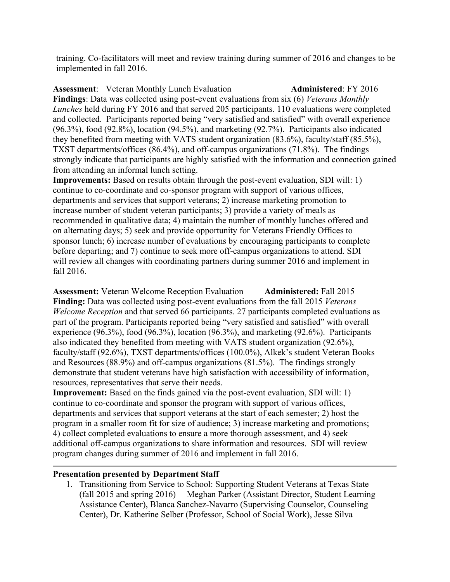training. Co-facilitators will meet and review training during summer of 2016 and changes to be implemented in fall 2016.

**Assessment**: Veteran Monthly Lunch Evaluation **Administered**: FY 2016 **Findings**: Data was collected using post-event evaluations from six (6) *Veterans Monthly Lunches* held during FY 2016 and that served 205 participants. 110 evaluations were completed and collected. Participants reported being "very satisfied and satisfied" with overall experience (96.3%), food (92.8%), location (94.5%), and marketing (92.7%). Participants also indicated they benefited from meeting with VATS student organization (83.6%), faculty/staff (85.5%), TXST departments/offices (86.4%), and off-campus organizations (71.8%). The findings strongly indicate that participants are highly satisfied with the information and connection gained from attending an informal lunch setting.

**Improvements:** Based on results obtain through the post-event evaluation, SDI will: 1) continue to co-coordinate and co-sponsor program with support of various offices, departments and services that support veterans; 2) increase marketing promotion to increase number of student veteran participants; 3) provide a variety of meals as recommended in qualitative data; 4) maintain the number of monthly lunches offered and on alternating days; 5) seek and provide opportunity for Veterans Friendly Offices to sponsor lunch; 6) increase number of evaluations by encouraging participants to complete before departing; and 7) continue to seek more off-campus organizations to attend. SDI will review all changes with coordinating partners during summer 2016 and implement in fall 2016.

**Assessment:** Veteran Welcome Reception Evaluation **Administered:** Fall 2015 **Finding:** Data was collected using post-event evaluations from the fall 2015 *Veterans Welcome Reception* and that served 66 participants. 27 participants completed evaluations as part of the program. Participants reported being "very satisfied and satisfied" with overall experience (96.3%), food (96.3%), location (96.3%), and marketing (92.6%). Participants also indicated they benefited from meeting with VATS student organization (92.6%), faculty/staff (92.6%), TXST departments/offices (100.0%), Alkek's student Veteran Books and Resources (88.9%) and off-campus organizations (81.5%). The findings strongly demonstrate that student veterans have high satisfaction with accessibility of information, resources, representatives that serve their needs.

**Improvement:** Based on the finds gained via the post-event evaluation, SDI will: 1) continue to co-coordinate and sponsor the program with support of various offices, departments and services that support veterans at the start of each semester; 2) host the program in a smaller room fit for size of audience; 3) increase marketing and promotions; 4) collect completed evaluations to ensure a more thorough assessment, and 4) seek additional off-campus organizations to share information and resources. SDI will review program changes during summer of 2016 and implement in fall 2016.

#### **Presentation presented by Department Staff**

1. Transitioning from Service to School: Supporting Student Veterans at Texas State (fall 2015 and spring 2016) – Meghan Parker (Assistant Director, Student Learning Assistance Center), Blanca Sanchez-Navarro (Supervising Counselor, Counseling Center), Dr. Katherine Selber (Professor, School of Social Work), Jesse Silva